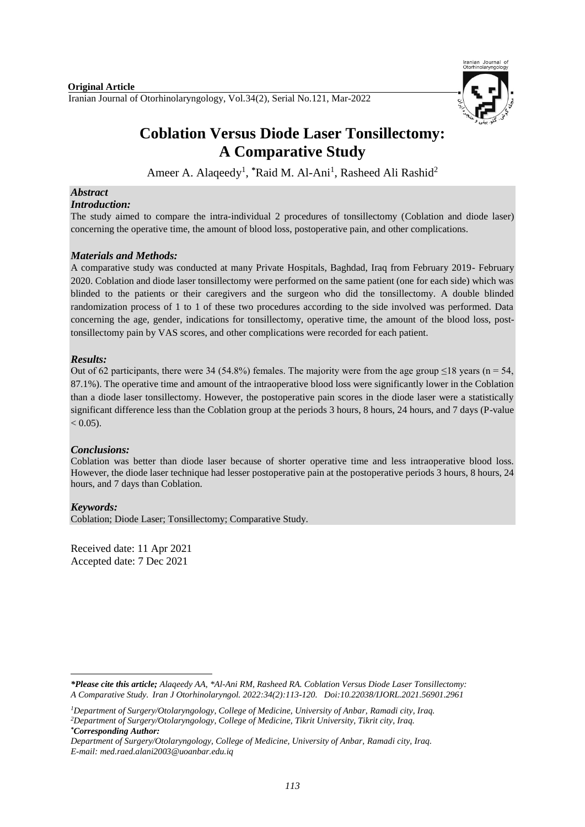Iranian Journal of Otorhinolaryngology, Vol.34(2), Serial No.121, Mar-2022



# **Coblation Versus Diode Laser Tonsillectomy: A Comparative Study**

Ameer A. Alaqeedy<sup>1</sup>, \*Raid M. Al-Ani<sup>1</sup>, Rasheed Ali Rashid<sup>2</sup>

## *Abstract*

#### *Introduction:*

The study aimed to compare the intra-individual 2 procedures of tonsillectomy (Coblation and diode laser) concerning the operative time, the amount of blood loss, postoperative pain, and other complications.

### *Materials and Methods:*

A comparative study was conducted at many Private Hospitals, Baghdad, Iraq from February 2019- February 2020. Coblation and diode laser tonsillectomy were performed on the same patient (one for each side) which was blinded to the patients or their caregivers and the surgeon who did the tonsillectomy. A double blinded randomization process of 1 to 1 of these two procedures according to the side involved was performed. Data concerning the age, gender, indications for tonsillectomy, operative time, the amount of the blood loss, posttonsillectomy pain by VAS scores, and other complications were recorded for each patient.

### *Results:*

Out of 62 participants, there were 34 (54.8%) females. The majority were from the age group  $\leq$ 18 years (n = 54, 87.1%). The operative time and amount of the intraoperative blood loss were significantly lower in the Coblation than a diode laser tonsillectomy. However, the postoperative pain scores in the diode laser were a statistically significant difference less than the Coblation group at the periods 3 hours, 8 hours, 24 hours, and 7 days (P-value  $< 0.05$ ).

### *Conclusions:*

Coblation was better than diode laser because of shorter operative time and less intraoperative blood loss. However, the diode laser technique had lesser postoperative pain at the postoperative periods 3 hours, 8 hours, 24 hours, and 7 days than Coblation.

### *Keywords:*

1

Coblation; Diode Laser; Tonsillectomy; Comparative Study.

Received date: 11 Apr 2021 Accepted date: 7 Dec 2021

*<sup>\*</sup>Please cite this article; Alaqeedy AA, \*Al-Ani RM, Rasheed RA. Coblation Versus Diode Laser Tonsillectomy: A Comparative Study. [Iran J Otorhinolaryngol.](https://www.ncbi.nlm.nih.gov/pubmed/?term=Tri-layer+Tympanoplasty+as+a+New+Technique+in+High-risk+Tympanic+Membrane+Perforations) 2022:34(2):113-120. Doi:10.22038/IJORL.2021.56901.2961*

*<sup>1</sup>Department of Surgery/Otolaryngology, College of Medicine, University of Anbar, Ramadi city, Iraq. <sup>2</sup>Department of Surgery/Otolaryngology, College of Medicine, Tikrit University, Tikrit city, Iraq. \*Corresponding Author:*

*Department of Surgery/Otolaryngology, College of Medicine, University of Anbar, Ramadi city, Iraq. E-mail[: med.raed.alani2003@uoanbar.edu.iq](mailto:med.raed.alani2003@uoanbar.edu.iq)*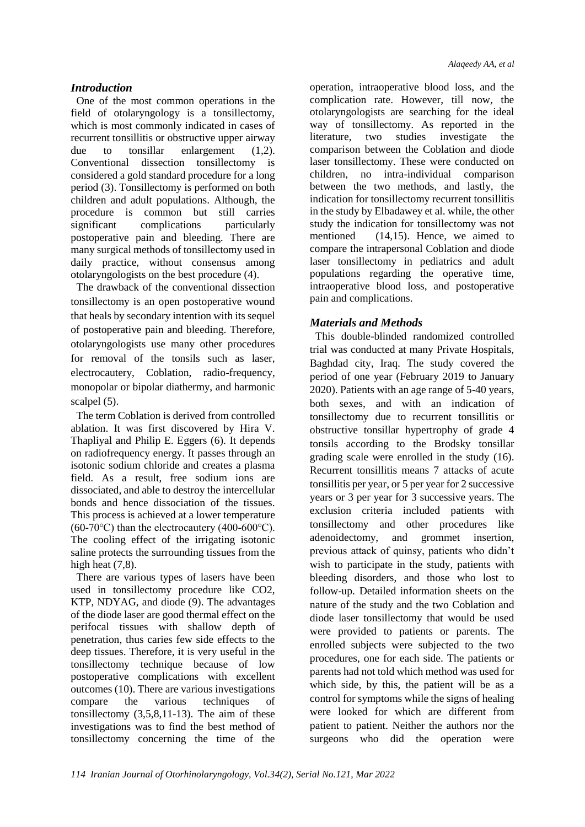## *Introduction*

One of the most common operations in the field of otolaryngology is a tonsillectomy, which is most commonly indicated in cases of recurrent tonsillitis or obstructive upper airway due to tonsillar enlargement (1,2). Conventional dissection tonsillectomy is considered a gold standard procedure for a long period (3). Tonsillectomy is performed on both children and adult populations. Although, the procedure is common but still carries significant complications particularly postoperative pain and bleeding. There are many surgical methods of tonsillectomy used in daily practice, without consensus among otolaryngologists on the best procedure (4).

The drawback of the conventional dissection tonsillectomy is an open postoperative wound that heals by secondary intention with its sequel of postoperative pain and bleeding. Therefore, otolaryngologists use many other procedures for removal of the tonsils such as laser, electrocautery, Coblation, radio-frequency, monopolar or bipolar diathermy, and harmonic scalpel (5).

The term Coblation is derived from controlled ablation. It was first discovered by Hira V. Thapliyal and Philip E. Eggers (6). It depends on radiofrequency energy. It passes through an isotonic sodium chloride and creates a plasma field. As a result, free sodium ions are dissociated, and able to destroy the intercellular bonds and hence dissociation of the tissues. This process is achieved at a lower temperature (60-70 $\textdegree$ C) than the electrocautery (400-600 $\textdegree$ C). The cooling effect of the irrigating isotonic saline protects the surrounding tissues from the high heat  $(7.8)$ .

There are various types of lasers have been used in tonsillectomy procedure like CO2, KTP, NDYAG, and diode (9). The advantages of the diode laser are good thermal effect on the perifocal tissues with shallow depth of penetration, thus caries few side effects to the deep tissues. Therefore, it is very useful in the tonsillectomy technique because of low postoperative complications with excellent outcomes (10). There are various investigations compare the various techniques of tonsillectomy (3,5,8,11-13). The aim of these investigations was to find the best method of tonsillectomy concerning the time of the operation, intraoperative blood loss, and the complication rate. However, till now, the otolaryngologists are searching for the ideal way of tonsillectomy. As reported in the literature, two studies investigate the comparison between the Coblation and diode laser tonsillectomy. These were conducted on children, no intra-individual comparison between the two methods, and lastly, the indication for tonsillectomy recurrent tonsillitis in the study by Elbadawey et al. while, the other study the indication for tonsillectomy was not mentioned (14,15). Hence, we aimed to compare the intrapersonal Coblation and diode laser tonsillectomy in pediatrics and adult populations regarding the operative time, intraoperative blood loss, and postoperative pain and complications.

## *Materials and Methods*

This double-blinded randomized controlled trial was conducted at many Private Hospitals, Baghdad city, Iraq. The study covered the period of one year (February 2019 to January 2020). Patients with an age range of 5-40 years, both sexes, and with an indication of tonsillectomy due to recurrent tonsillitis or obstructive tonsillar hypertrophy of grade 4 tonsils according to the Brodsky tonsillar grading scale were enrolled in the study (16). Recurrent tonsillitis means 7 attacks of acute tonsillitis per year, or 5 per year for 2 successive years or 3 per year for 3 successive years. The exclusion criteria included patients with tonsillectomy and other procedures like adenoidectomy, and grommet insertion, previous attack of quinsy, patients who didn't wish to participate in the study, patients with bleeding disorders, and those who lost to follow-up. Detailed information sheets on the nature of the study and the two Coblation and diode laser tonsillectomy that would be used were provided to patients or parents. The enrolled subjects were subjected to the two procedures, one for each side. The patients or parents had not told which method was used for which side, by this, the patient will be as a control for symptoms while the signs of healing were looked for which are different from patient to patient. Neither the authors nor the surgeons who did the operation were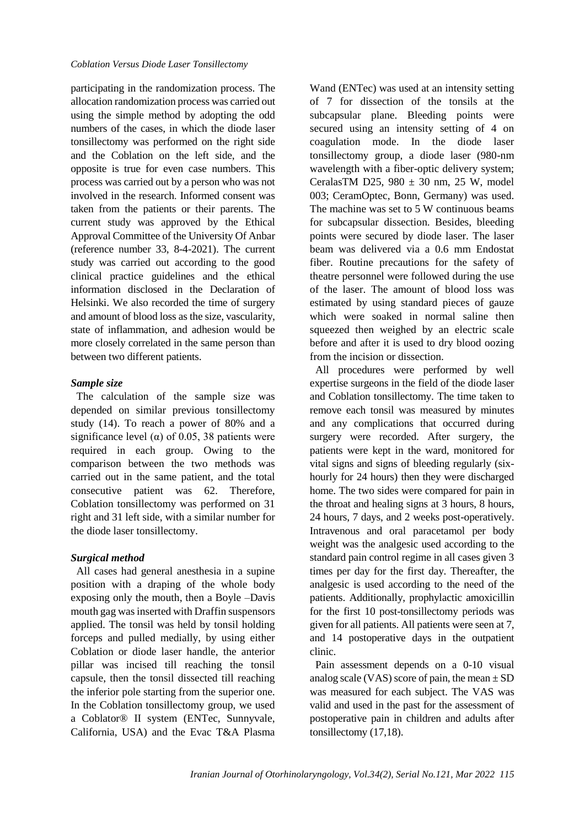participating in the randomization process. The allocation randomization process was carried out using the simple method by adopting the odd numbers of the cases, in which the diode laser tonsillectomy was performed on the right side and the Coblation on the left side, and the opposite is true for even case numbers. This process was carried out by a person who was not involved in the research. Informed consent was taken from the patients or their parents. The current study was approved by the Ethical Approval Committee of the University Of Anbar (reference number 33, 8-4-2021). The current study was carried out according to the good clinical practice guidelines and the ethical information disclosed in the Declaration of Helsinki. We also recorded the time of surgery and amount of blood loss as the size, vascularity, state of inflammation, and adhesion would be more closely correlated in the same person than between two different patients.

## *Sample size*

The calculation of the sample size was depended on similar previous tonsillectomy study (14). To reach a power of 80% and a significance level ( $\alpha$ ) of 0.05, 38 patients were required in each group. Owing to the comparison between the two methods was carried out in the same patient, and the total consecutive patient was 62. Therefore, Coblation tonsillectomy was performed on 31 right and 31 left side, with a similar number for the diode laser tonsillectomy.

## *Surgical method*

All cases had general anesthesia in a supine position with a draping of the whole body exposing only the mouth, then a Boyle –Davis mouth gag was inserted with Draffin suspensors applied. The tonsil was held by tonsil holding forceps and pulled medially, by using either Coblation or diode laser handle, the anterior pillar was incised till reaching the tonsil capsule, then the tonsil dissected till reaching the inferior pole starting from the superior one. In the Coblation tonsillectomy group, we used a Coblator® II system (ENTec, Sunnyvale, California, USA) and the Evac T&A Plasma Wand (ENTec) was used at an intensity setting of 7 for dissection of the tonsils at the subcapsular plane. Bleeding points were secured using an intensity setting of 4 on coagulation mode. In the diode laser tonsillectomy group, a diode laser (980-nm wavelength with a fiber-optic delivery system; CeralasTM D25,  $980 \pm 30$  nm, 25 W, model 003; CeramOptec, Bonn, Germany) was used. The machine was set to 5 W continuous beams for subcapsular dissection. Besides, bleeding points were secured by diode laser. The laser beam was delivered via a 0.6 mm Endostat fiber. Routine precautions for the safety of theatre personnel were followed during the use of the laser. The amount of blood loss was estimated by using standard pieces of gauze which were soaked in normal saline then squeezed then weighed by an electric scale before and after it is used to dry blood oozing from the incision or dissection.

All procedures were performed by well expertise surgeons in the field of the diode laser and Coblation tonsillectomy. The time taken to remove each tonsil was measured by minutes and any complications that occurred during surgery were recorded. After surgery, the patients were kept in the ward, monitored for vital signs and signs of bleeding regularly (sixhourly for 24 hours) then they were discharged home. The two sides were compared for pain in the throat and healing signs at 3 hours, 8 hours, 24 hours, 7 days, and 2 weeks post-operatively. Intravenous and oral paracetamol per body weight was the analgesic used according to the standard pain control regime in all cases given 3 times per day for the first day. Thereafter, the analgesic is used according to the need of the patients. Additionally, prophylactic amoxicillin for the first 10 post-tonsillectomy periods was given for all patients. All patients were seen at 7, and 14 postoperative days in the outpatient clinic.

Pain assessment depends on a 0-10 visual analog scale (VAS) score of pain, the mean  $\pm$  SD was measured for each subject. The VAS was valid and used in the past for the assessment of postoperative pain in children and adults after tonsillectomy (17,18).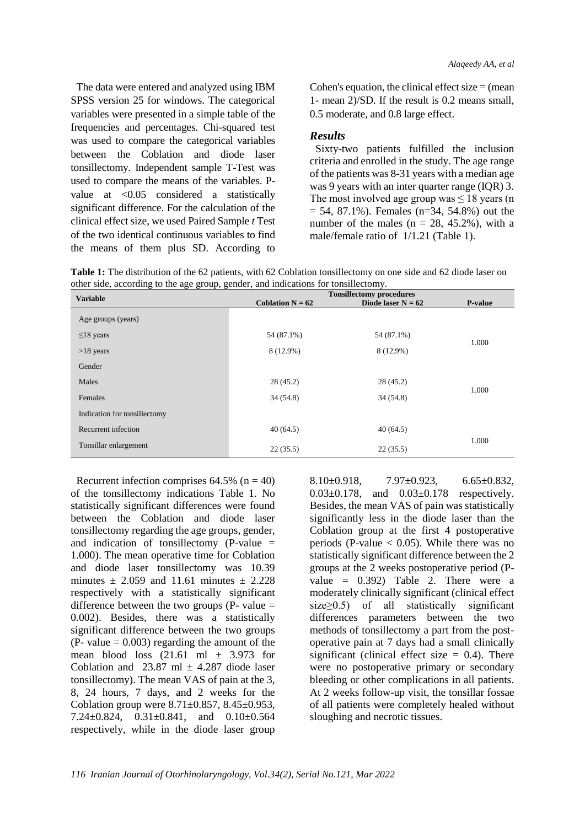The data were entered and analyzed using IBM SPSS version 25 for windows. The categorical variables were presented in a simple table of the frequencies and percentages. Chi-squared test was used to compare the categorical variables between the Coblation and diode laser tonsillectomy. Independent sample T-Test was used to compare the means of the variables. Pvalue at <0.05 considered a statistically significant difference. For the calculation of the clinical effect size, we used Paired Sample *t* Test of the two identical continuous variables to find the means of them plus SD. According to Cohen's equation, the clinical effect size  $=$  (mean 1- mean 2)/SD. If the result is 0.2 means small, 0.5 moderate, and 0.8 large effect.

#### *Results*

Sixty-two patients fulfilled the inclusion criteria and enrolled in the study. The age range of the patients was 8-31 years with a median age was 9 years with an inter quarter range (IQR) 3. The most involved age group was  $\leq 18$  years (n  $= 54, 87.1\%$ ). Females (n=34, 54.8%) out the number of the males  $(n = 28, 45.2\%)$ , with a male/female ratio of 1/1.21 (Table 1).

**Table 1:** The distribution of the 62 patients, with 62 Coblation tonsillectomy on one side and 62 diode laser on other side, according to the age group, gender, and indications for tonsillectomy.

| ے ۔<br><b>Variable</b>       | <b>Tonsillectomy procedures</b> |                      |         |  |
|------------------------------|---------------------------------|----------------------|---------|--|
|                              | Coblation $N = 62$              | Diode laser $N = 62$ | P-value |  |
| Age groups (years)           |                                 |                      |         |  |
| $\leq$ 18 years              | 54 (87.1%)                      | 54 (87.1%)           | 1.000   |  |
| $>18$ years                  | 8 (12.9%)                       | 8 (12.9%)            |         |  |
| Gender                       |                                 |                      |         |  |
| Males                        | 28(45.2)                        | 28(45.2)             | 1.000   |  |
| Females                      | 34(54.8)                        | 34(54.8)             |         |  |
| Indication for tonsillectomy |                                 |                      |         |  |
| Recurrent infection          | 40(64.5)                        | 40(64.5)             |         |  |
| Tonsillar enlargement        | 22(35.5)                        | 22(35.5)             | 1.000   |  |

Recurrent infection comprises  $64.5\%$  (n = 40) of the tonsillectomy indications Table 1. No statistically significant differences were found between the Coblation and diode laser tonsillectomy regarding the age groups, gender, and indication of tonsillectomy (P-value = 1.000). The mean operative time for Coblation and diode laser tonsillectomy was 10.39 minutes  $\pm$  2.059 and 11.61 minutes  $\pm$  2.228 respectively with a statistically significant difference between the two groups (P- value  $=$ 0.002). Besides, there was a statistically significant difference between the two groups  $(P - value = 0.003)$  regarding the amount of the mean blood loss  $(21.61 \text{ ml } \pm 3.973 \text{ for }$ Coblation and 23.87 ml  $\pm$  4.287 diode laser tonsillectomy). The mean VAS of pain at the 3, 8, 24 hours, 7 days, and 2 weeks for the Coblation group were  $8.71 \pm 0.857$ ,  $8.45 \pm 0.953$ , 7.24±0.824, 0.31±0.841, and 0.10±0.564 respectively, while in the diode laser group  $8.10\pm0.918$ ,  $7.97\pm0.923$ ,  $6.65\pm0.832$ 0.03±0.178, and 0.03±0.178 respectively. Besides, the mean VAS of pain was statistically significantly less in the diode laser than the Coblation group at the first 4 postoperative periods (P-value  $< 0.05$ ). While there was no statistically significant difference between the 2 groups at the 2 weeks postoperative period (Pvalue  $= 0.392$ ) Table 2. There were a moderately clinically significant (clinical effect size≥0.5) of all statistically significant differences parameters between the two methods of tonsillectomy a part from the postoperative pain at 7 days had a small clinically significant (clinical effect size  $= 0.4$ ). There were no postoperative primary or secondary bleeding or other complications in all patients. At 2 weeks follow-up visit, the tonsillar fossae of all patients were completely healed without sloughing and necrotic tissues.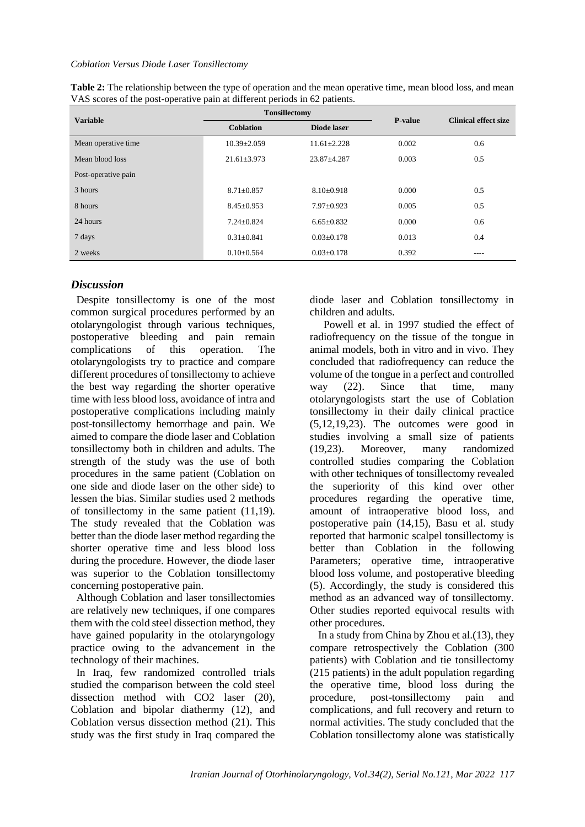#### *Coblation Versus Diode Laser Tonsillectomy*

| <b>Variable</b>     | <b>Tonsillectomy</b> |                  | <b>P-value</b> | <b>Clinical effect size</b> |
|---------------------|----------------------|------------------|----------------|-----------------------------|
|                     | <b>Coblation</b>     | Diode laser      |                |                             |
| Mean operative time | $10.39 \pm 2.059$    | $11.61 + 2.228$  | 0.002          | 0.6                         |
| Mean blood loss     | $21.61 \pm 3.973$    | $23.87 + 4.287$  | 0.003          | 0.5                         |
| Post-operative pain |                      |                  |                |                             |
| 3 hours             | $8.71 \pm 0.857$     | $8.10\pm0.918$   | 0.000          | 0.5                         |
| 8 hours             | $8.45 \pm 0.953$     | $7.97 \pm 0.923$ | 0.005          | 0.5                         |
| 24 hours            | $7.24 \pm 0.824$     | $6.65 \pm 0.832$ | 0.000          | 0.6                         |
| 7 days              | $0.31 \pm 0.841$     | $0.03 \pm 0.178$ | 0.013          | 0.4                         |
| 2 weeks             | $0.10\pm0.564$       | $0.03 \pm 0.178$ | 0.392          | ----                        |

| Table 2: The relationship between the type of operation and the mean operative time, mean blood loss, and mean |
|----------------------------------------------------------------------------------------------------------------|
| VAS scores of the post-operative pain at different periods in 62 patients.                                     |

## *Discussion*

Despite tonsillectomy is one of the most common surgical procedures performed by an otolaryngologist through various techniques, postoperative bleeding and pain remain complications of this operation. The otolaryngologists try to practice and compare different procedures of tonsillectomy to achieve the best way regarding the shorter operative time with less blood loss, avoidance of intra and postoperative complications including mainly post-tonsillectomy hemorrhage and pain. We aimed to compare the diode laser and Coblation tonsillectomy both in children and adults. The strength of the study was the use of both procedures in the same patient (Coblation on one side and diode laser on the other side) to lessen the bias. Similar studies used 2 methods of tonsillectomy in the same patient (11,19). The study revealed that the Coblation was better than the diode laser method regarding the shorter operative time and less blood loss during the procedure. However, the diode laser was superior to the Coblation tonsillectomy concerning postoperative pain.

Although Coblation and laser tonsillectomies are relatively new techniques, if one compares them with the cold steel dissection method, they have gained popularity in the otolaryngology practice owing to the advancement in the technology of their machines.

In Iraq, few randomized controlled trials studied the comparison between the cold steel dissection method with CO2 laser (20), Coblation and bipolar diathermy (12), and Coblation versus dissection method (21). This study was the first study in Iraq compared the diode laser and Coblation tonsillectomy in children and adults.

 Powell et al. in 1997 studied the effect of radiofrequency on the tissue of the tongue in animal models, both in vitro and in vivo. They concluded that radiofrequency can reduce the volume of the tongue in a perfect and controlled way (22). Since that time, many otolaryngologists start the use of Coblation tonsillectomy in their daily clinical practice (5,12,19,23). The outcomes were good in studies involving a small size of patients (19,23). Moreover, many randomized controlled studies comparing the Coblation with other techniques of tonsillectomy revealed the superiority of this kind over other procedures regarding the operative time, amount of intraoperative blood loss, and postoperative pain (14,15), Basu et al. study reported that harmonic scalpel tonsillectomy is better than Coblation in the following Parameters; operative time, intraoperative blood loss volume, and postoperative bleeding (5). Accordingly, the study is considered this method as an advanced way of tonsillectomy. Other studies reported equivocal results with other procedures.

In a study from China by Zhou et al.(13), they compare retrospectively the Coblation (300 patients) with Coblation and tie tonsillectomy (215 patients) in the adult population regarding the operative time, blood loss during the procedure, post-tonsillectomy pain and complications, and full recovery and return to normal activities. The study concluded that the Coblation tonsillectomy alone was statistically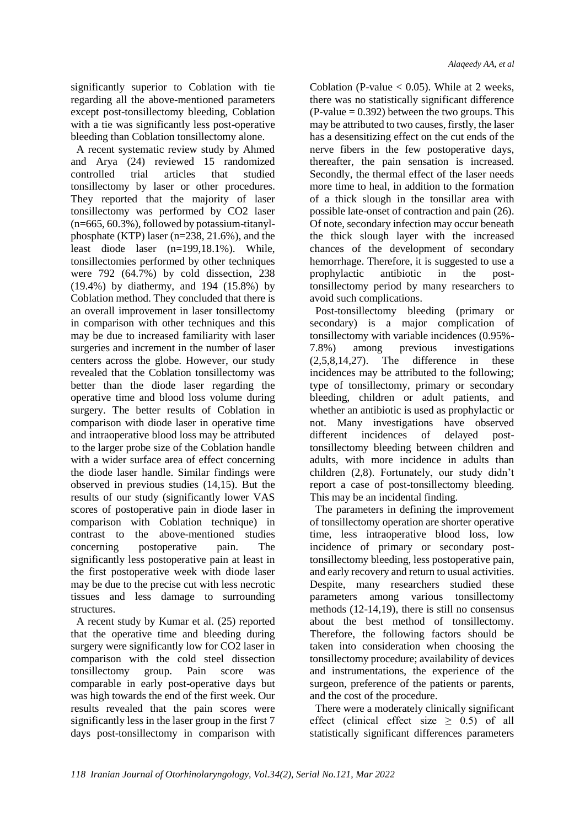significantly superior to Coblation with tie regarding all the above-mentioned parameters except post-tonsillectomy bleeding, Coblation with a tie was significantly less post-operative bleeding than Coblation tonsillectomy alone.

A recent systematic review study by Ahmed and Arya (24) reviewed 15 randomized controlled trial articles that studied tonsillectomy by laser or other procedures. They reported that the majority of laser tonsillectomy was performed by CO2 laser (n=665, 60.3%), followed by potassium-titanylphosphate (KTP) laser (n=238, 21.6%), and the least diode laser (n=199,18.1%). While, tonsillectomies performed by other techniques were 792 (64.7%) by cold dissection, 238 (19.4%) by diathermy, and 194 (15.8%) by Coblation method. They concluded that there is an overall improvement in laser tonsillectomy in comparison with other techniques and this may be due to increased familiarity with laser surgeries and increment in the number of laser centers across the globe. However, our study revealed that the Coblation tonsillectomy was better than the diode laser regarding the operative time and blood loss volume during surgery. The better results of Coblation in comparison with diode laser in operative time and intraoperative blood loss may be attributed to the larger probe size of the Coblation handle with a wider surface area of effect concerning the diode laser handle. Similar findings were observed in previous studies (14,15). But the results of our study (significantly lower VAS scores of postoperative pain in diode laser in comparison with Coblation technique) in contrast to the above-mentioned studies concerning postoperative pain. The significantly less postoperative pain at least in the first postoperative week with diode laser may be due to the precise cut with less necrotic tissues and less damage to surrounding structures.

A recent study by Kumar et al. (25) reported that the operative time and bleeding during surgery were significantly low for CO2 laser in comparison with the cold steel dissection tonsillectomy group. Pain score was comparable in early post-operative days but was high towards the end of the first week. Our results revealed that the pain scores were significantly less in the laser group in the first 7 days post-tonsillectomy in comparison with

Coblation (P-value  $< 0.05$ ). While at 2 weeks, there was no statistically significant difference  $(P-value = 0.392)$  between the two groups. This may be attributed to two causes, firstly, the laser has a desensitizing effect on the cut ends of the nerve fibers in the few postoperative days, thereafter, the pain sensation is increased. Secondly, the thermal effect of the laser needs more time to heal, in addition to the formation of a thick slough in the tonsillar area with possible late-onset of contraction and pain (26). Of note, secondary infection may occur beneath the thick slough layer with the increased chances of the development of secondary hemorrhage. Therefore, it is suggested to use a prophylactic antibiotic in the posttonsillectomy period by many researchers to avoid such complications.

Post-tonsillectomy bleeding (primary or secondary) is a major complication of tonsillectomy with variable incidences (0.95%- 7.8%) among previous investigations (2,5,8,14,27). The difference in these incidences may be attributed to the following; type of tonsillectomy, primary or secondary bleeding, children or adult patients, and whether an antibiotic is used as prophylactic or not. Many investigations have observed different incidences of delayed posttonsillectomy bleeding between children and adults, with more incidence in adults than children (2,8). Fortunately, our study didn't report a case of post-tonsillectomy bleeding. This may be an incidental finding.

The parameters in defining the improvement of tonsillectomy operation are shorter operative time, less intraoperative blood loss, low incidence of primary or secondary posttonsillectomy bleeding, less postoperative pain, and early recovery and return to usual activities. Despite, many researchers studied these parameters among various tonsillectomy methods (12-14,19), there is still no consensus about the best method of tonsillectomy. Therefore, the following factors should be taken into consideration when choosing the tonsillectomy procedure; availability of devices and instrumentations, the experience of the surgeon, preference of the patients or parents, and the cost of the procedure.

There were a moderately clinically significant effect (clinical effect size  $\geq$  0.5) of all statistically significant differences parameters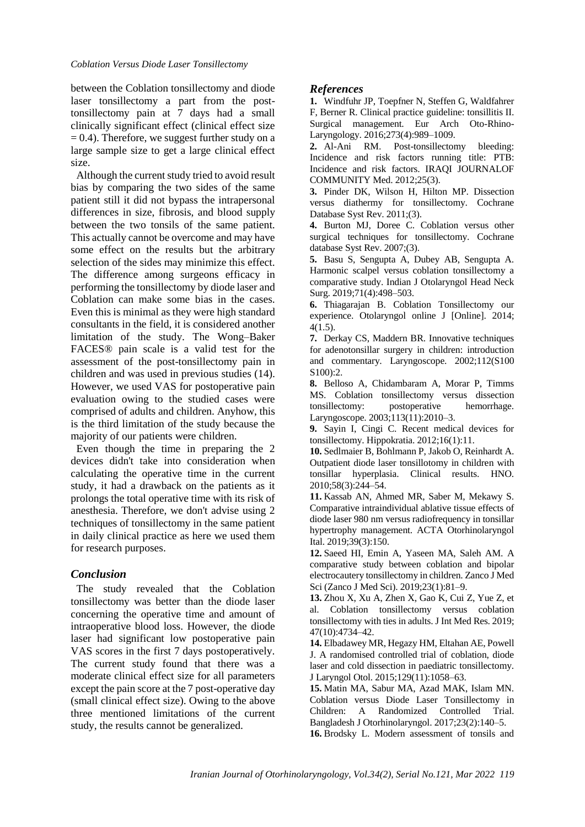between the Coblation tonsillectomy and diode laser tonsillectomy a part from the posttonsillectomy pain at 7 days had a small clinically significant effect (clinical effect size  $= 0.4$ ). Therefore, we suggest further study on a large sample size to get a large clinical effect size.

Although the current study tried to avoid result bias by comparing the two sides of the same patient still it did not bypass the intrapersonal differences in size, fibrosis, and blood supply between the two tonsils of the same patient. This actually cannot be overcome and may have some effect on the results but the arbitrary selection of the sides may minimize this effect. The difference among surgeons efficacy in performing the tonsillectomy by diode laser and Coblation can make some bias in the cases. Even this is minimal as they were high standard consultants in the field, it is considered another limitation of the study. The Wong–Baker FACES® pain scale is a valid test for the assessment of the post-tonsillectomy pain in children and was used in previous studies (14). However, we used VAS for postoperative pain evaluation owing to the studied cases were comprised of adults and children. Anyhow, this is the third limitation of the study because the majority of our patients were children.

Even though the time in preparing the 2 devices didn't take into consideration when calculating the operative time in the current study, it had a drawback on the patients as it prolongs the total operative time with its risk of anesthesia. Therefore, we don't advise using 2 techniques of tonsillectomy in the same patient in daily clinical practice as here we used them for research purposes.

## *Conclusion*

The study revealed that the Coblation tonsillectomy was better than the diode laser concerning the operative time and amount of intraoperative blood loss. However, the diode laser had significant low postoperative pain VAS scores in the first 7 days postoperatively. The current study found that there was a moderate clinical effect size for all parameters except the pain score at the 7 post-operative day (small clinical effect size). Owing to the above three mentioned limitations of the current study, the results cannot be generalized.

## *References*

**1.** Windfuhr JP, Toepfner N, Steffen G, Waldfahrer F, Berner R. Clinical practice guideline: tonsillitis II. Surgical management. Eur Arch Oto-Rhino-Laryngology. 2016;273(4):989–1009.

**2.** Al-Ani RM. Post-tonsillectomy bleeding: Incidence and risk factors running title: PTB: Incidence and risk factors. IRAQI JOURNALOF COMMUNITY Med. 2012;25(3).

**3.** Pinder DK, Wilson H, Hilton MP. Dissection versus diathermy for tonsillectomy. Cochrane Database Syst Rev. 2011;(3).

**4.** Burton MJ, Doree C. Coblation versus other surgical techniques for tonsillectomy. Cochrane database Syst Rev. 2007;(3).

**5.** Basu S, Sengupta A, Dubey AB, Sengupta A. Harmonic scalpel versus coblation tonsillectomy a comparative study. Indian J Otolaryngol Head Neck Surg. 2019;71(4):498–503.

**6.** Thiagarajan B. Coblation Tonsillectomy our experience. Otolaryngol online J [Online]. 2014; 4(1.5).

**7.** Derkay CS, Maddern BR. Innovative techniques for adenotonsillar surgery in children: introduction and commentary. Laryngoscope. 2002;112(S100 S100):2.

**8.** Belloso A, Chidambaram A, Morar P, Timms MS. Coblation tonsillectomy versus dissection tonsillectomy: postoperative hemorrhage. Laryngoscope. 2003;113(11):2010–3.

**9.** Sayin I, Cingi C. Recent medical devices for tonsillectomy. Hippokratia. 2012;16(1):11.

**10.** Sedlmaier B, Bohlmann P, Jakob O, Reinhardt A. Outpatient diode laser tonsillotomy in children with tonsillar hyperplasia. Clinical results. HNO. 2010;58(3):244–54.

**11.** Kassab AN, Ahmed MR, Saber M, Mekawy S. Comparative intraindividual ablative tissue effects of diode laser 980 nm versus radiofrequency in tonsillar hypertrophy management. ACTA Otorhinolaryngol Ital. 2019;39(3):150.

**12.** Saeed HI, Emin A, Yaseen MA, Saleh AM. A comparative study between coblation and bipolar electrocautery tonsillectomy in children. Zanco J Med Sci (Zanco J Med Sci). 2019;23(1):81–9.

**13.** Zhou X, Xu A, Zhen X, Gao K, Cui Z, Yue Z, et al. Coblation tonsillectomy versus coblation tonsillectomy with ties in adults. J Int Med Res. 2019; 47(10):4734–42.

**14.** Elbadawey MR, Hegazy HM, Eltahan AE, Powell J. A randomised controlled trial of coblation, diode laser and cold dissection in paediatric tonsillectomy. J Laryngol Otol. 2015;129(11):1058–63.

**15.** Matin MA, Sabur MA, Azad MAK, Islam MN. Coblation versus Diode Laser Tonsillectomy in Children: A Randomized Controlled Trial. Bangladesh J Otorhinolaryngol. 2017;23(2):140–5. **16.** Brodsky L. Modern assessment of tonsils and